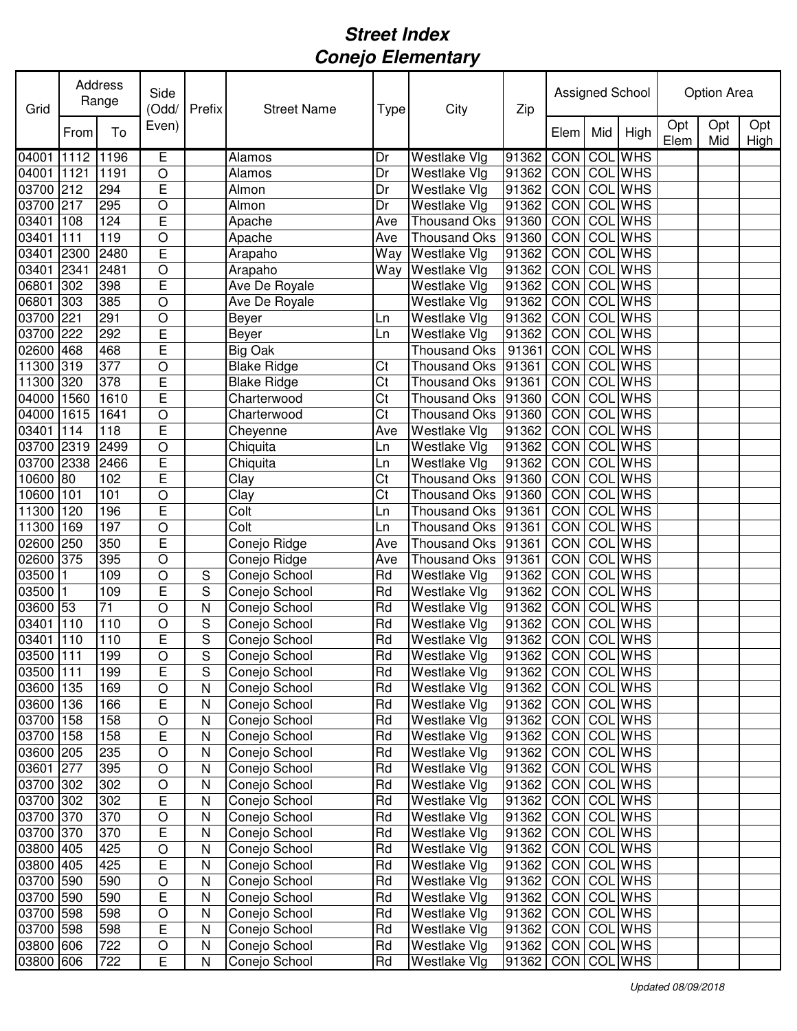| Grid      |      | Address<br>Range | Side<br>(Odd/  | Prefix       | <b>Street Name</b> | <b>Type</b> | City                | Zip                   |            |     | Assigned School | Option Area |            |             |  |
|-----------|------|------------------|----------------|--------------|--------------------|-------------|---------------------|-----------------------|------------|-----|-----------------|-------------|------------|-------------|--|
|           | From | To               | Even)          |              |                    |             |                     |                       | Elem       | Mid | High            | Opt<br>Elem | Opt<br>Mid | Opt<br>High |  |
| 04001     | 1112 | 1196             | Ē              |              | Alamos             | Dr          | <b>Westlake Vlg</b> | 91362                 | CON        | COL | <b>WHS</b>      |             |            |             |  |
| 04001     | 1121 | 1191             | $\circ$        |              | Alamos             | Dr          | Westlake Vlg        | 91362                 | CON        |     | <b>COL WHS</b>  |             |            |             |  |
| 03700     | 212  | 294              | E              |              | Almon              | Dr          | Westlake Vlg        | 91362                 | CON        |     | <b>COL WHS</b>  |             |            |             |  |
| 03700     | 217  | 295              | $\circ$        |              | Almon              | Dr          | Westlake Vlg        | 91362                 | CON        | COL | <b>WHS</b>      |             |            |             |  |
| 03401     | 108  | 124              | E              |              | Apache             | Ave         | <b>Thousand Oks</b> | 91360                 | CON        | COL | <b>WHS</b>      |             |            |             |  |
| 03401     | 111  | 119              | $\circ$        |              | Apache             | Ave         | <b>Thousand Oks</b> | 91360                 | CON        | COL | <b>WHS</b>      |             |            |             |  |
| 03401     | 2300 | 2480             | E              |              | Arapaho            | Way         | Westlake Vlg        | 91362                 | CON        | COL | <b>WHS</b>      |             |            |             |  |
| 03401     | 2341 | 2481             | $\circ$        |              | Arapaho            | Way         | Westlake Vlg        | 91362                 | CON        | COL | <b>WHS</b>      |             |            |             |  |
| 06801     | 302  | 398              | E              |              | Ave De Royale      |             | Westlake Vlg        | 91362                 | <b>CON</b> | COL | <b>WHS</b>      |             |            |             |  |
| 06801     | 303  | 385              | $\circ$        |              | Ave De Royale      |             | Westlake Vlg        | 91362                 | CON        | COL | <b>WHS</b>      |             |            |             |  |
| 03700     | 221  | 291              | $\bigcirc$     |              | Beyer              | Ln          | Westlake Vlg        | 91362                 | CON        | COL | <b>WHS</b>      |             |            |             |  |
| 03700     | 222  | 292              | E              |              | Beyer              | Ln          | Westlake Vlg        | 91362                 | CON        | COL | <b>WHS</b>      |             |            |             |  |
| 02600     | 468  | 468              | E              |              | Big Oak            |             | <b>Thousand Oks</b> | 91361                 | CON        | COL | <b>WHS</b>      |             |            |             |  |
| 11300     | 319  | 377              | $\circ$        |              | <b>Blake Ridge</b> | Ct          | <b>Thousand Oks</b> | 91361                 | CON        | COL | <b>WHS</b>      |             |            |             |  |
| 11300     | 320  | 378              | E              |              | <b>Blake Ridge</b> | Ct          | <b>Thousand Oks</b> | 91361                 | CON        | COL | <b>WHS</b>      |             |            |             |  |
| 04000     | 1560 | 1610             | E              |              | Charterwood        | Ct          | <b>Thousand Oks</b> | 91360                 | CON        | COL | <b>WHS</b>      |             |            |             |  |
| 04000     | 1615 | 1641             | $\circ$        |              | Charterwood        | Ct          | <b>Thousand Oks</b> | 91360                 | CON        | COL | <b>WHS</b>      |             |            |             |  |
| 03401     | 114  | 118              | E              |              | Cheyenne           | Ave         | Westlake Vlg        | 91362                 | CON        | COL | <b>WHS</b>      |             |            |             |  |
| 03700     | 2319 | 2499             | $\overline{O}$ |              | Chiquita           | Ln          | Westlake Vlg        | 91362                 | CON        | COL | <b>WHS</b>      |             |            |             |  |
| 03700     | 2338 | 2466             | E              |              | Chiquita           | Ln          | Westlake Vlg        | 91362                 | CON        | COL | <b>WHS</b>      |             |            |             |  |
| 10600     | 80   | 102              | E              |              | Clay               | Ct          | <b>Thousand Oks</b> | 91360                 | CON        | COL | <b>WHS</b>      |             |            |             |  |
| 10600     | 101  | 101              | $\overline{O}$ |              | Clay               | Ct          | <b>Thousand Oks</b> | 91360                 | CON        | COL | <b>WHS</b>      |             |            |             |  |
| 11300     | 120  | 196              | $\overline{E}$ |              | Colt               | Ln          | <b>Thousand Oks</b> | 91361                 | CON        | COL | <b>WHS</b>      |             |            |             |  |
| 11300     | 169  | 197              | $\circ$        |              | Colt               | Ln          | <b>Thousand Oks</b> | 91361                 | CON        | COL | <b>WHS</b>      |             |            |             |  |
| 02600     | 250  | 350              | E              |              | Conejo Ridge       | Ave         | Thousand Oks        | 91361                 | CON        | COI | <b>WHS</b>      |             |            |             |  |
| 02600     | 375  | 395              | $\circ$        |              | Conejo Ridge       | Ave         | <b>Thousand Oks</b> | 91361                 | CON        | COL | <b>WHS</b>      |             |            |             |  |
| 03500     |      | 109              | $\circ$        | S            | Conejo School      | Rd          | Westlake Vlg        | 91362                 | CON        | COL | <b>WHS</b>      |             |            |             |  |
| 03500     |      | 109              | E              | S            | Conejo School      | Rd          | Westlake Vlg        | 91362                 | CON        | COL | <b>WHS</b>      |             |            |             |  |
| 03600     | 53   | 71               | $\circ$        | $\mathsf{N}$ | Conejo School      | Rd          | Westlake Vlg        | 91362                 | CON        | COL | <b>WHS</b>      |             |            |             |  |
| 03401     | 110  | 110              | $\circ$        | $\mathsf S$  | Conejo School      | Rd          | Westlake Vlg        | 91362                 | CON        | COL | <b>WHS</b>      |             |            |             |  |
| 03401 110 |      | 110              | E              | S            | Conejo School      | Rd          | Westlake Vlg        | 91362 CON COL WHS     |            |     |                 |             |            |             |  |
| 03500 111 |      | 199              | $\circ$        | S            | Conejo School      | Rd          | <b>Westlake Vlg</b> | 91362 CON COL WHS     |            |     |                 |             |            |             |  |
| 03500 111 |      | 199              | E              | S            | Conejo School      | Rd          | Westlake Vlg        | 91362   CON   COL WHS |            |     |                 |             |            |             |  |
| 03600 135 |      | 169              | $\bigcirc$     | $\mathsf{N}$ | Conejo School      | Rd          | Westlake Vlg        | 91362   CON   COL WHS |            |     |                 |             |            |             |  |
| 03600 136 |      | 166              | E              | N            | Conejo School      | Rd          | Westlake Vlg        | 91362   CON   COL WHS |            |     |                 |             |            |             |  |
| 03700 158 |      | 158              | $\bigcirc$     | N            | Conejo School      | Rd          | Westlake Vlg        | 91362   CON COL WHS   |            |     |                 |             |            |             |  |
| 03700     | 158  | 158              | E              | N            | Conejo School      | Rd          | Westlake Vlg        | 91362   CON   COL WHS |            |     |                 |             |            |             |  |
| 03600 205 |      | 235              | $\bigcirc$     | N            | Conejo School      | Rd          | Westlake Vlg        | 91362   CON   COL WHS |            |     |                 |             |            |             |  |
| 03601 277 |      | 395              | $\circ$        | N            | Conejo School      | Rd          | Westlake Vlg        | 91362   CON   COL WHS |            |     |                 |             |            |             |  |
| 03700 302 |      | 302              | O              | N            | Conejo School      | Rd          | Westlake Vlg        | 91362   CON   COL WHS |            |     |                 |             |            |             |  |
| 03700 302 |      | 302              | E              | N            | Conejo School      | Rd          | Westlake Vlg        | 91362 CON COL WHS     |            |     |                 |             |            |             |  |
| 03700 370 |      | 370              | O              | N            | Conejo School      | Rd          | Westlake Vlg        | 91362 CON COL WHS     |            |     |                 |             |            |             |  |
| 03700 370 |      | 370              | Ε              | N            | Conejo School      | Rd          | Westlake Vlg        | 91362 CON COLWHS      |            |     |                 |             |            |             |  |
| 03800 405 |      | 425              | $\circ$        | $\mathsf{N}$ | Conejo School      | Rd          | Westlake Vlg        | 91362 CON COL WHS     |            |     |                 |             |            |             |  |
| 03800 405 |      | 425              | Ε              | N            | Conejo School      | Rd          | Westlake Vlg        | 91362   CON   COL WHS |            |     |                 |             |            |             |  |
| 03700 590 |      | 590              | $\circ$        | $\mathsf{N}$ | Conejo School      | Rd          | Westlake Vlg        | 91362   CON   COL WHS |            |     |                 |             |            |             |  |
| 03700 590 |      | 590              | E              | $\mathsf{N}$ | Conejo School      | Rd          | Westlake Vlg        | 91362 CON COL         |            |     | WHS             |             |            |             |  |
| 03700 598 |      | 598              | $\bigcirc$     | $\mathsf{N}$ | Conejo School      | Rd          | Westlake Vlg        | 91362 CON COL         |            |     | WHS             |             |            |             |  |
| 03700 598 |      | 598              | E              | $\mathsf{N}$ | Conejo School      | Rd          | Westlake Vlg        | 91362   CON   COL WHS |            |     |                 |             |            |             |  |
| 03800 606 |      | 722              | $\bigcirc$     | $\mathsf{N}$ | Conejo School      | Rd          | Westlake Vlg        | 91362   CON   COL WHS |            |     |                 |             |            |             |  |
| 03800 606 |      | 722              | Е              | N            | Conejo School      | Rd          | Westlake Vlg        | 91362   CON   COL WHS |            |     |                 |             |            |             |  |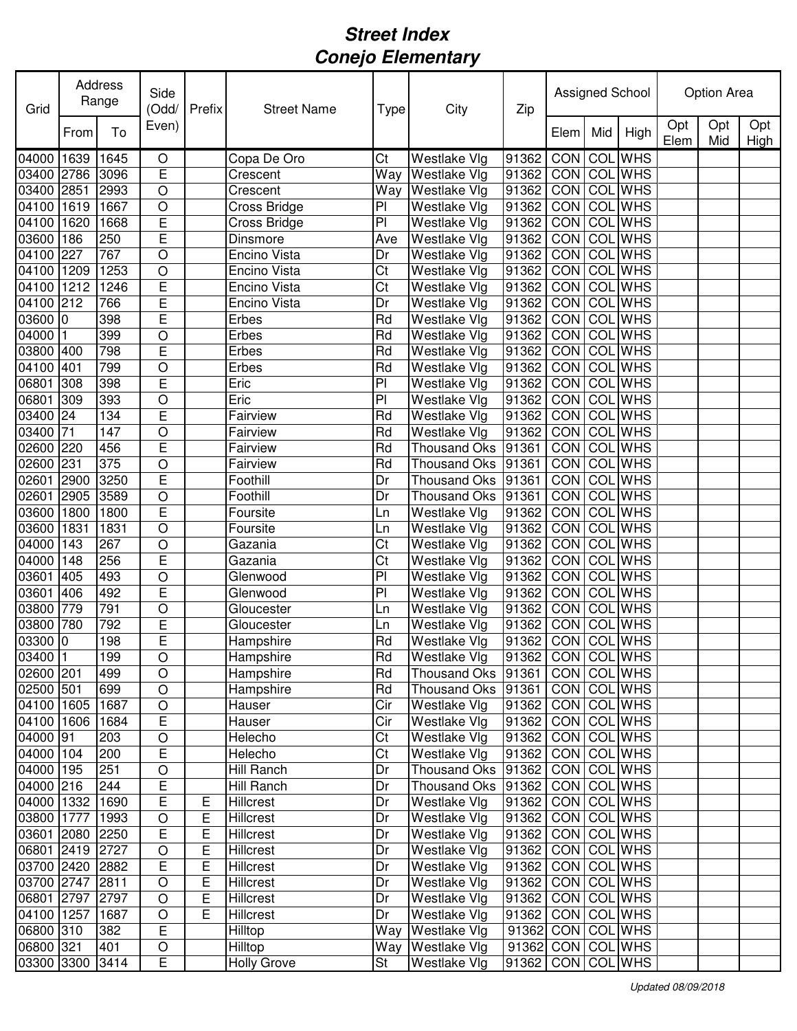| Grid       |      | Address<br>Range | Side<br>(Odd/  | Prefix | <b>Street Name</b> | Type                   | City                                 | Zip               |            |                  | Assigned School |             | Option Area |             |
|------------|------|------------------|----------------|--------|--------------------|------------------------|--------------------------------------|-------------------|------------|------------------|-----------------|-------------|-------------|-------------|
|            | From | To               | Even)          |        |                    |                        |                                      |                   | Elem       | Mid              | High            | Opt<br>Elem | Opt<br>Mid  | Opt<br>High |
| 04000      | 1639 | 1645             | O              |        | Copa De Oro        | Ct                     | Westlake Vlg                         | 91362             | CON        |                  | <b>COL</b> WHS  |             |             |             |
| 03400      | 2786 | 3096             | E              |        | Crescent           | Way                    | Westlake Vlg                         | 91362             | CON        |                  | <b>COL</b> WHS  |             |             |             |
| 03400      | 2851 | 2993             | $\circ$        |        | Crescent           | Way                    | <b>Westlake Vlg</b>                  | 91362             | CON        | COL              | <b>WHS</b>      |             |             |             |
| 04100      | 1619 | 1667             | $\circ$        |        | Cross Bridge       | PI                     | Westlake Vlg                         | 91362             | CON        | COL              | <b>WHS</b>      |             |             |             |
| 04100      | 1620 | 1668             | E              |        | Cross Bridge       | PI                     | Westlake Vlg                         | 91362             | CON        | COL              | <b>WHS</b>      |             |             |             |
| 03600      | 186  | 250              | E              |        | Dinsmore           | Ave                    | Westlake Vlg                         | 91362             | CON        | COL              | <b>WHS</b>      |             |             |             |
| 04100      | 227  | 767              | $\bigcirc$     |        | Encino Vista       | Dr                     | Westlake Vlg                         | 91362             | CON        |                  | <b>COL WHS</b>  |             |             |             |
| 04100      | 1209 | 1253             | $\bigcirc$     |        | Encino Vista       | Ct                     | Westlake Vlg                         | 91362             | CON        |                  | <b>COL WHS</b>  |             |             |             |
| 04100      | 1212 | 1246             | E              |        | Encino Vista       | Ct                     | Westlake Vlg                         | 91362             | CON        |                  | <b>COL WHS</b>  |             |             |             |
| 04100      | 212  | 766              | E              |        | Encino Vista       | Dr                     | Westlake Vlg                         | 91362             | CON        | COL              | <b>WHS</b>      |             |             |             |
| 03600      | 0    | 398              | E              |        | Erbes              | Rd                     | Westlake Vlg                         | 91362             | CON        | COL              | <b>WHS</b>      |             |             |             |
| 04000      |      | 399              | $\circ$        |        | Erbes              | Rd                     | Westlake Vlg                         | 91362             | CON        | $\overline{COL}$ | <b>WHS</b>      |             |             |             |
| 03800      | 400  | 798              | E              |        | Erbes              | Rd                     | Westlake Vlg                         | 91362             | <b>CON</b> | COL              | <b>WHS</b>      |             |             |             |
| 04100      | 401  | 799              | $\circ$        |        | Erbes              | Rd                     | <b>Westlake Vlg</b>                  | 91362             | CON        | $\overline{COL}$ | <b>WHS</b>      |             |             |             |
| 06801      | 308  | 398              | E              |        | Eric               | PI                     | Westlake Vlg                         | 91362             | CON        | COL              | <b>WHS</b>      |             |             |             |
| 06801      | 309  | 393              | $\circ$        |        | Eric               | $\overline{P}$         | Westlake Vlg                         | 91362             | CON        | COL              | <b>WHS</b>      |             |             |             |
| 03400      | 24   | 134              | E              |        | Fairview           | Rd                     | Westlake Vlg                         | 91362             | CON        | COL              | <b>WHS</b>      |             |             |             |
| 03400      | 71   | 147              | $\circ$        |        | Fairview           | Rd                     | Westlake Vlg                         | 91362             | CON        | COL              | <b>WHS</b>      |             |             |             |
| 02600      | 220  | 456              | E              |        | Fairview           | Rd                     | <b>Thousand Oks</b>                  | 91361             | CON        | COL              | <b>WHS</b>      |             |             |             |
| 02600      | 231  | 375              | $\circ$        |        | Fairview           | Rd                     | <b>Thousand Oks</b>                  | 91361             | CON        | COL              | <b>WHS</b>      |             |             |             |
| 02601      | 2900 | 3250             | E              |        | Foothill           | Dr                     | <b>Thousand Oks</b>                  | 91361             | CON        | COL              | <b>WHS</b>      |             |             |             |
| 02601      | 2905 | 3589             | $\circ$        |        | Foothill           | Dr                     | <b>Thousand Oks</b>                  | 91361             | CON        | COL              | <b>WHS</b>      |             |             |             |
| 03600      | 1800 | 1800             | E              |        | Foursite           | Ln                     | Westlake Vlg                         | 91362             | CON        | COL              | <b>WHS</b>      |             |             |             |
| 03600      | 1831 | 1831             | $\circ$        |        | Foursite           | Ln                     | Westlake Vlg                         | 91362             | CON        | COL              | <b>WHS</b>      |             |             |             |
| 04000      | 143  | 267              | $\bigcirc$     |        | Gazania            | Ct                     | Westlake Vlg                         | 91362             | CON        | COL              | <b>WHS</b>      |             |             |             |
| 04000      | 148  | 256              | E              |        | Gazania            | Ct                     | Westlake Vlg                         | 91362             | CON        | COL              | <b>WHS</b>      |             |             |             |
| 03601      | 405  | 493              | $\circ$        |        | Glenwood           | PI                     | Westlake Vlg                         | 91362             | CON        | COL              | <b>WHS</b>      |             |             |             |
| 03601      | 406  | 492              | E              |        | Glenwood           | PI                     | Westlake Vlg                         | 91362             | CON        | COL              | <b>WHS</b>      |             |             |             |
| 03800      | 779  | 791              | $\circ$        |        | Gloucester         | Ln                     | Westlake Vlg                         | 91362             | CON        | COL              | <b>WHS</b>      |             |             |             |
| 03800      | 780  | 792              | E              |        | Gloucester         | Ln                     | Westlake Vlg                         | 91362             | CON        | COL              | <b>WHS</b>      |             |             |             |
| 03300 0    |      | 198              | E              |        | Hampshire          | Rd                     | Westlake Vlg                         | 91362 CON COL WHS |            |                  |                 |             |             |             |
| 03400 1    |      | 199              | $\mathsf O$    |        | Hampshire          | Rd                     | <b>Westlake Vlg</b>                  | 91362 CON COL WHS |            |                  |                 |             |             |             |
| 02600 201  |      | 499              | $\circ$        |        | Hampshire          | Rd                     | Thousand Oks   91361   CON   COL WHS |                   |            |                  |                 |             |             |             |
| 02500 501  |      | 699              | $\bigcirc$     |        | Hampshire          | Rd                     | Thousand Oks 91361                   |                   |            |                  | CON COL WHS     |             |             |             |
| 04100 1605 |      | 1687             | $\bigcirc$     |        | Hauser             | Cir                    | Westlake Vlg                         | 91362             |            |                  | CON COL WHS     |             |             |             |
| 04100      | 1606 | 1684             | E              |        | Hauser             | Cir                    | Westlake Vlg                         | 91362             |            |                  | CON COL WHS     |             |             |             |
| 04000 91   |      | 203              | $\mathsf O$    |        | Helecho            | $\overline{\text{C}t}$ | Westlake Vlg                         | 91362             |            |                  | CON COL WHS     |             |             |             |
| 04000      | 104  | 200              | $\overline{E}$ |        | Helecho            | Ct                     | Westlake Vlg                         | 91362             |            |                  | CON COL WHS     |             |             |             |
| 04000      | 195  | 251              | $\bigcirc$     |        | Hill Ranch         | Dr                     | <b>Thousand Oks</b>                  | 91362             |            |                  | CON COL WHS     |             |             |             |
| 04000 216  |      | 244              | E              |        | Hill Ranch         | Dr                     | <b>Thousand Oks</b>                  | 91362             |            |                  | CON COL WHS     |             |             |             |
| 04000 1332 |      | 1690             | E              | Ε      | Hillcrest          | Dr                     | Westlake Vlg                         | 91362             |            |                  | CON COL WHS     |             |             |             |
| 03800 1777 |      | 1993             | O              | Ε      | Hillcrest          | Dr                     | Westlake Vlg                         | 91362             |            |                  | CON COL WHS     |             |             |             |
| 03601 2080 |      | 2250             | E              | Ε      | Hillcrest          | Dr                     | Westlake Vlg                         | 91362             |            |                  | CON COL WHS     |             |             |             |
| 06801 2419 |      | 2727             | $\bigcirc$     | E      | Hillcrest          | Dr                     | Westlake Vlg                         | 91362             |            |                  | CON COL WHS     |             |             |             |
| 03700 2420 |      | 2882             | E              | E      | Hillcrest          | Dr                     | Westlake Vlg                         | 91362             | CON COL    |                  | <b>WHS</b>      |             |             |             |
| 03700 2747 |      | 2811             | $\bigcirc$     | E      | Hillcrest          | Dr                     | Westlake Vlg                         | 91362             |            |                  | CON COL WHS     |             |             |             |
| 06801 2797 |      | 2797             | $\circ$        | E      | Hillcrest          | Dr                     | Westlake Vlg                         | 91362             |            |                  | CON COL WHS     |             |             |             |
| 04100 1257 |      | 1687             | $\bigcirc$     | E      | Hillcrest          | Dr                     | Westlake Vlg                         | 91362             |            |                  | CON COL WHS     |             |             |             |
| 06800 310  |      | 382              | E              |        | Hilltop            | Way                    | Westlake Vlg                         | 91362 CON COL WHS |            |                  |                 |             |             |             |
| 06800 321  |      | 401              | $\hbox{O}$     |        | Hilltop            | Way                    | <b>Westlake Vlg</b>                  | 91362 CON COL WHS |            |                  |                 |             |             |             |
| 03300 3300 |      | 3414             | E              |        | <b>Holly Grove</b> | St                     | Westlake Vlg                         | 91362             |            |                  | CON COL WHS     |             |             |             |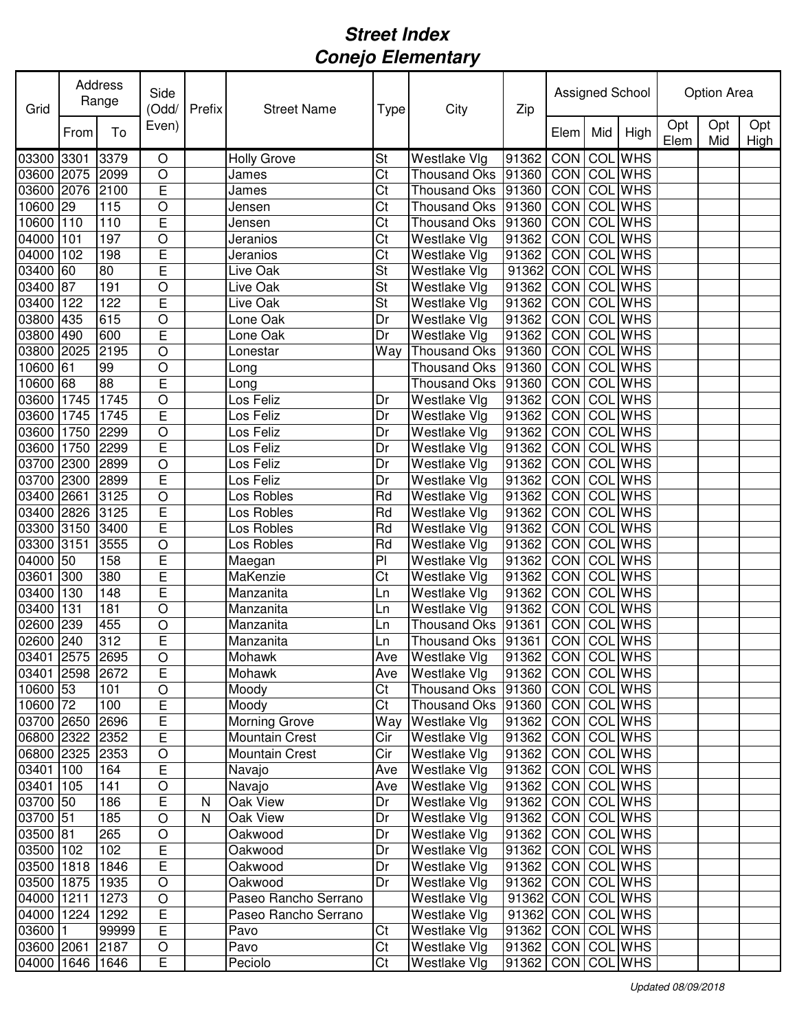| Grid            |      | Address<br>Range | Side<br>(Odd/  | Prefix    | <b>Street Name</b>   | <b>Type</b>              | City                                 | Zip                   | Assigned School |                  |                | Option Area |            |             |
|-----------------|------|------------------|----------------|-----------|----------------------|--------------------------|--------------------------------------|-----------------------|-----------------|------------------|----------------|-------------|------------|-------------|
|                 | From | To               | Even)          |           |                      |                          |                                      |                       | Elem            | Mid              | High           | Opt<br>Elem | Opt<br>Mid | Opt<br>High |
| 03300           | 3301 | 3379             | O              |           | <b>Holly Grove</b>   | St                       | Westlake Vlg                         | 91362                 | CON COL WHS     |                  |                |             |            |             |
| 03600           | 2075 | 2099             | $\bigcirc$     |           | James                | Ct                       | <b>Thousand Oks</b>                  | 91360                 | CON COLWHS      |                  |                |             |            |             |
| 03600           | 2076 | 2100             | E              |           | James                | Ct                       | <b>Thousand Oks</b>                  | 91360                 | CON             | COL              | <b>WHS</b>     |             |            |             |
| 10600           | 29   | 115              | $\circ$        |           | Jensen               | Ct                       | <b>Thousand Oks</b>                  | 91360                 | CON             | COL              | <b>WHS</b>     |             |            |             |
| 10600           | 110  | 110              | E              |           | Jensen               | Ct                       | <b>Thousand Oks</b>                  | 91360                 | CON             | COL              | WHS            |             |            |             |
| 04000           | 101  | 197              | $\circ$        |           | Jeranios             | Ct                       | Westlake Vlg                         | 91362                 | CON             |                  | <b>COL</b> WHS |             |            |             |
| 04000           | 102  | 198              | E              |           | Jeranios             | Ct                       | Westlake Vlg                         | 91362                 | CON             | COL              | <b>WHS</b>     |             |            |             |
| 03400           | 60   | 80               | E              |           | Live Oak             | St                       | Westlake Vlg                         | 91362                 | CON             | COL              | <b>WHS</b>     |             |            |             |
| 03400           | 87   | 191              | $\bigcirc$     |           | Live Oak             | $\overline{\mathsf{St}}$ | Westlake Vlg                         | 91362                 | CON             | COL              | <b>WHS</b>     |             |            |             |
| 03400           | 122  | 122              | E              |           | Live Oak             | St                       | Westlake Vlg                         | 91362                 | <b>CON</b>      |                  | <b>COL WHS</b> |             |            |             |
| 03800           | 435  | 615              | $\bigcirc$     |           | Lone Oak             | Dr                       | Westlake Vlg                         | 91362                 | CON             | COL              | <b>WHS</b>     |             |            |             |
| 03800           | 490  | 600              | E              |           | Lone Oak             | Dr                       | Westlake Vlg                         | 91362                 | CON             | COL              | <b>WHS</b>     |             |            |             |
| 03800           | 2025 | 2195             | $\circ$        |           | Lonestar             | Way                      | <b>Thousand Oks</b>                  | 91360                 | <b>CON</b>      | $\overline{COL}$ | <b>WHS</b>     |             |            |             |
| 10600           | 61   | 99               | $\circ$        |           | Long                 |                          | <b>Thousand Oks</b>                  | 91360                 | <b>CON</b>      | COL              | <b>WHS</b>     |             |            |             |
| 10600           | 68   | 88               | E              |           | Long                 |                          | <b>Thousand Oks</b>                  | 91360                 | CON             | COL              | <b>WHS</b>     |             |            |             |
| 03600           | 1745 | 1745             | $\circ$        |           | Los Feliz            | Dr                       | Westlake Vlg                         | 91362                 | <b>CON</b>      | COL              | <b>WHS</b>     |             |            |             |
| 03600           | 1745 | 1745             | E              |           | Los Feliz            | Dr                       | Westlake Vlg                         | 91362                 | CON             | COL              | <b>WHS</b>     |             |            |             |
| 03600           | 1750 | 2299             | $\bigcirc$     |           | Los Feliz            | Dr                       | Westlake Vlg                         | 91362                 | CON             | COL              | <b>WHS</b>     |             |            |             |
| 03600           | 1750 | 2299             | E              |           | Los Feliz            | Dr                       | Westlake Vlg                         | 91362                 | CON             | COL              | <b>WHS</b>     |             |            |             |
| 03700           | 2300 | 2899             | $\circ$        |           | Los Feliz            | Dr                       | Westlake Vlg                         | 91362                 | CON             | COL              | <b>WHS</b>     |             |            |             |
| 03700           | 2300 | 2899             | E              |           | Los Feliz            | Dr                       | Westlake Vlg                         | 91362                 | CON             | COL              | <b>WHS</b>     |             |            |             |
| 03400           | 2661 | 3125             | $\circ$        |           | Los Robles           | Rd                       | Westlake Vlg                         | 91362                 | CON             | COL              | <b>WHS</b>     |             |            |             |
| 03400           | 2826 | 3125             | E              |           | Los Robles           | Rd                       | Westlake Vlg                         | 91362                 | CON             | COL              | <b>WHS</b>     |             |            |             |
| 03300           | 3150 | 3400             | E              |           | Los Robles           | Rd                       | Westlake Vlg                         | 91362                 | CON             | COL              | <b>WHS</b>     |             |            |             |
| 03300           | 3151 | 3555             | $\bigcirc$     |           | Los Robles           | Rd                       | Westlake Vlg                         | 91362                 | CON             | COL              | <b>WHS</b>     |             |            |             |
| 04000           | 50   | 158              | E              |           | Maegan               | PI                       | Westlake Vlg                         | 91362                 | CON             | COL              | <b>WHS</b>     |             |            |             |
| 03601           | 300  | 380              | E              |           | MaKenzie             | Ct                       | Westlake Vlg                         | 91362                 | CON             | COL              | <b>WHS</b>     |             |            |             |
| 03400           | 130  | 148              | E              |           | Manzanita            | Ln                       | Westlake Vlg                         | 91362                 | CON             | COL              | <b>WHS</b>     |             |            |             |
| 03400           | 131  | 181              | $\circ$        |           | Manzanita            | Ln                       | Westlake Vlg                         | 91362                 | CON             | COL              | <b>WHS</b>     |             |            |             |
| 02600           | 239  | 455              | $\circ$        |           | Manzanita            | Ln                       | <b>Thousand Oks</b>                  | 91361                 | CON             | COL              | <b>WHS</b>     |             |            |             |
| 02600 240       |      | 312              | E              |           | Manzanita            | Ln                       | Thousand Oks 91361                   |                       | CON COL WHS     |                  |                |             |            |             |
| 03401 2575 2695 |      |                  | $\overline{O}$ |           | Mohawk               | Ave                      | Westlake Vlg 91362 CON COL WHS       |                       |                 |                  |                |             |            |             |
| 03401 2598 2672 |      |                  | E              |           | Mohawk               | Ave                      | <b>Westlake Vlg</b>                  | 91362   CON COL WHS   |                 |                  |                |             |            |             |
| 10600 53        |      | 101              | $\mathsf O$    |           | Moody                | $\overline{\text{C}t}$   | Thousand Oks   91360   CON   COL WHS |                       |                 |                  |                |             |            |             |
| 10600 72        |      | 100              | E              |           | Moody                | $\overline{\text{C}t}$   | <b>Thousand Oks</b>                  | 91360 CON COL WHS     |                 |                  |                |             |            |             |
| 03700 2650      |      | 2696             | $\overline{E}$ |           | Morning Grove        | Way                      | Westlake Vlg                         | 91362                 |                 |                  | CON COL WHS    |             |            |             |
| 06800 2322      |      | 2352             | E              |           | Mountain Crest       | Cir                      | Westlake Vlg                         | 91362                 | CON COL WHS     |                  |                |             |            |             |
| 06800 2325      |      | 2353             | $\bigcirc$     |           | Mountain Crest       | Cir                      | Westlake Vlg                         | 91362                 | CON COL WHS     |                  |                |             |            |             |
| 03401 100       |      | 164              | E              |           | Navajo               | Ave                      | Westlake Vlg                         | 91362                 | CON COL WHS     |                  |                |             |            |             |
| 03401 105       |      | 141              | $\bigcirc$     |           | Navajo               | Ave                      | Westlake Vlg                         | 91362                 | CON COL WHS     |                  |                |             |            |             |
| 03700 50        |      | 186              | E              | N         | Oak View             | Dr                       | $\overline{W}$ estlake Vlg           | 91362   CON   COL WHS |                 |                  |                |             |            |             |
| 03700 51        |      | 185              | O              | ${\sf N}$ | Oak View             | Dr                       | Westlake Vlg                         | 91362   CON   COL WHS |                 |                  |                |             |            |             |
| 03500 81        |      | 265              | $\bigcirc$     |           | Oakwood              | Dr                       | Westlake Vlg                         | 91362                 | CON COL WHS     |                  |                |             |            |             |
| 03500 102       |      | 102              | E              |           | Oakwood              | Dr                       | <b>Westlake Vlg</b>                  | 91362                 | CON COL WHS     |                  |                |             |            |             |
| 03500 1818      |      | 1846             | E              |           | Oakwood              | Dr                       | Westlake Vlg                         | 91362                 | CON COL WHS     |                  |                |             |            |             |
| 03500           | 1875 | 1935             | $\bigcirc$     |           | Oakwood              | Dr                       | Westlake Vlg                         | 91362                 | CON COL WHS     |                  |                |             |            |             |
| 04000           | 1211 | 1273             | $\bigcirc$     |           | Paseo Rancho Serrano |                          | Westlake Vlg                         | 91362 CON COL WHS     |                 |                  |                |             |            |             |
| 04000           | 1224 | 1292             | E              |           | Paseo Rancho Serrano |                          | Westlake Vlg                         | 91362 CON COLWHS      |                 |                  |                |             |            |             |
| 03600           |      | 99999            | E              |           | Pavo                 | Ct                       | <b>Westlake Vlg</b>                  | 91362   CON   COL WHS |                 |                  |                |             |            |             |
| 03600 2061      |      | 2187             | $\bigcirc$     |           | Pavo                 | $\overline{\text{C}t}$   | Westlake Vlg                         | 91362                 | CON COL WHS     |                  |                |             |            |             |
| 04000 1646 1646 |      |                  | E              |           | Peciolo              | Ct                       | Westlake Vlg                         | 91362                 | CON COL WHS     |                  |                |             |            |             |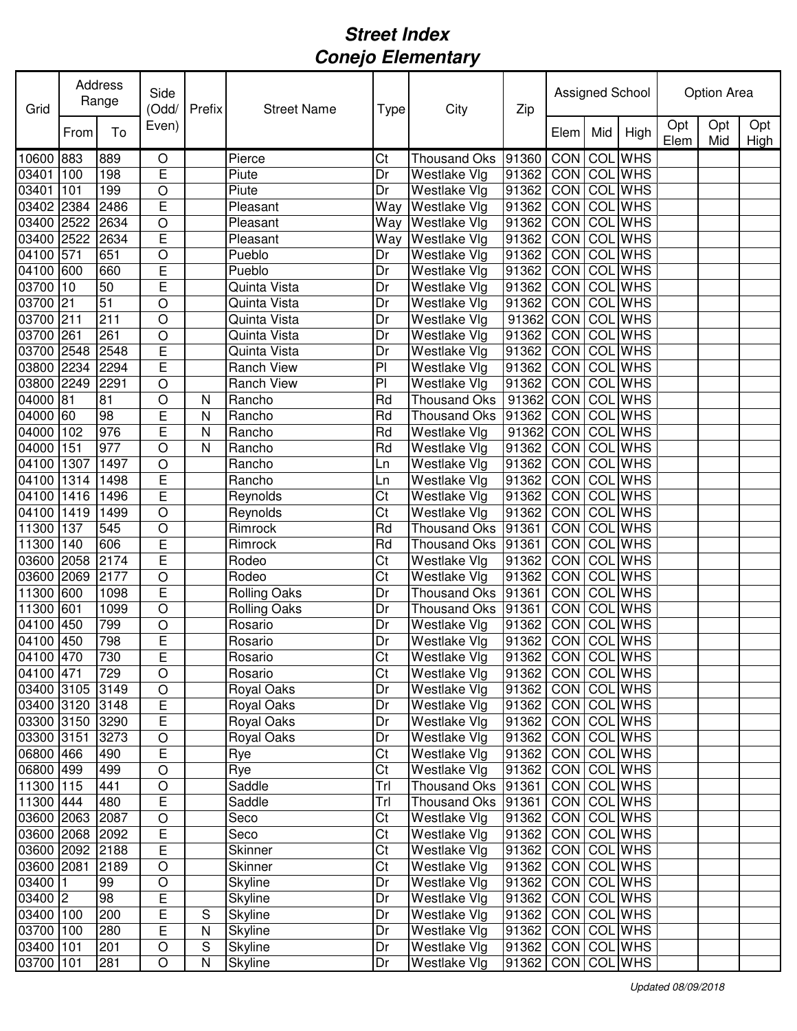| Grid       |      | Address<br>Range | Side<br>(Odd/ | Prefix                  | <b>Street Name</b>  | Type                   | City                | Zip                     |             |                  | Assigned School |             | Option Area |             |
|------------|------|------------------|---------------|-------------------------|---------------------|------------------------|---------------------|-------------------------|-------------|------------------|-----------------|-------------|-------------|-------------|
|            | From | To               | Even)         |                         |                     |                        |                     |                         | Elem        | Mid              | High            | Opt<br>Elem | Opt<br>Mid  | Opt<br>High |
| 10600      | 883  | 889              | O             |                         | Pierce              | Ct                     | <b>Thousand Oks</b> | 91360                   | CON         |                  | <b>COL</b> WHS  |             |             |             |
| 03401      | 100  | 198              | E             |                         | Piute               | Dr                     | Westlake Vlg        | 91362                   | CON         |                  | <b>COL</b> WHS  |             |             |             |
| 03401      | 101  | 199              | $\bigcirc$    |                         | Piute               | Dr                     | Westlake Vlg        | 91362                   | CON         | COL              | <b>WHS</b>      |             |             |             |
| 03402      | 2384 | 2486             | E             |                         | Pleasant            | Way                    | Westlake Vlg        | 91362                   | CON         | COL              | <b>WHS</b>      |             |             |             |
| 03400      | 2522 | 2634             | $\circ$       |                         | Pleasant            | Way                    | Westlake Vlg        | 91362                   | CON         | COL              | <b>WHS</b>      |             |             |             |
| 03400      | 2522 | 2634             | E             |                         | Pleasant            | Way                    | Westlake Vlg        | 91362                   | CON         | COL              | <b>WHS</b>      |             |             |             |
| 04100      | 571  | 651              | $\bigcirc$    |                         | Pueblo              | Dr                     | Westlake Vlg        | 91362                   | CON         | COL              | <b>WHS</b>      |             |             |             |
| 04100      | 600  | 660              | E             |                         | Pueblo              | Dr                     | Westlake Vlg        | 91362                   | CON         |                  | <b>COL WHS</b>  |             |             |             |
| 03700      | 10   | 50               | E             |                         | Quinta Vista        | Dr                     | Westlake Vlg        | 91362                   | CON         |                  | <b>COL WHS</b>  |             |             |             |
| 03700      | 21   | 51               | $\circ$       |                         | Quinta Vista        | Dr                     | Westlake Vlg        | 91362                   | CON         | COL              | <b>WHS</b>      |             |             |             |
| 03700      | 211  | 211              | $\circ$       |                         | Quinta Vista        | Dr                     | Westlake Vlg        | 91362                   | CON         | COL              | <b>WHS</b>      |             |             |             |
| 03700      | 261  | 261              | $\circ$       |                         | Quinta Vista        | Dr                     | Westlake Vlg        | 91362                   | CON         | COL              | <b>WHS</b>      |             |             |             |
| 03700      | 2548 | 2548             | E             |                         | Quinta Vista        | Dr                     | Westlake Vlg        | 91362                   | CON         | COL              | <b>WHS</b>      |             |             |             |
| 03800      | 2234 | 2294             | E             |                         | <b>Ranch View</b>   | $\overline{P}$         | Westlake Vlg        | 91362                   | CON         | $\overline{COL}$ | <b>WHS</b>      |             |             |             |
| 03800      | 2249 | 2291             | $\bigcirc$    |                         | <b>Ranch View</b>   | P <sub>1</sub>         | Westlake Vlg        | 91362                   | CON         | COL              | <b>WHS</b>      |             |             |             |
| 04000      | 81   | $\overline{8}$   | $\bigcirc$    | N                       | Rancho              | Rd                     | <b>Thousand Oks</b> | 91362                   | CON         | COL              | <b>WHS</b>      |             |             |             |
| 04000      | 60   | 98               | E             | N                       | Rancho              | Rd                     | <b>Thousand Oks</b> | 91362                   | CON         | COL              | <b>WHS</b>      |             |             |             |
| 04000      | 102  | 976              | E             | N                       | Rancho              | Rd                     | Westlake Vlg        | 91362                   | CON         | COL              | <b>WHS</b>      |             |             |             |
| 04000      | 151  | 977              | $\circ$       | $\overline{\mathsf{N}}$ | Rancho              | Rd                     | Westlake Vlg        | 91362                   | CON         | COL              | <b>WHS</b>      |             |             |             |
| 04100      | 1307 | 1497             | $\circ$       |                         | Rancho              | Ln                     | Westlake Vlg        | 91362                   | CON         | COL              | <b>WHS</b>      |             |             |             |
| 04100      | 1314 | 1498             | E             |                         | Rancho              | Ln                     | Westlake Vlg        | 91362                   | CON         | COL              | <b>WHS</b>      |             |             |             |
| 04100      | 1416 | 1496             | E             |                         | Reynolds            | Ct                     | Westlake Vlg        | 91362                   | CON         | COL              | <b>WHS</b>      |             |             |             |
| 04100      | 1419 | 1499             | $\circ$       |                         | Reynolds            | Ct                     | Westlake Vlg        | 91362                   | CON         | COL              | <b>WHS</b>      |             |             |             |
| 11300      | 137  | 545              | $\circ$       |                         | Rimrock             | Rd                     | <b>Thousand Oks</b> | 91361                   | CON         | COL              | <b>WHS</b>      |             |             |             |
| 11300      | 140  | 606              | E             |                         | Rimrock             | Rd                     | <b>Thousand Oks</b> | 91361                   | CON         | COL              | <b>WHS</b>      |             |             |             |
| 03600      | 2058 | 2174             | E             |                         | Rodeo               | Ct                     | Westlake Vlg        | 91362                   | CON         | COL              | <b>WHS</b>      |             |             |             |
| 03600      | 2069 | 2177             | $\circ$       |                         | Rodeo               | Ct                     | Westlake Vlg        | 91362                   | CON         | COL              | <b>WHS</b>      |             |             |             |
| 11300      | 600  | 1098             | E             |                         | <b>Rolling Oaks</b> | Dr                     | <b>Thousand Oks</b> | 91361                   | CON         | COL              | <b>WHS</b>      |             |             |             |
| 11300      | 601  | 1099             | $\circ$       |                         | <b>Rolling Oaks</b> | Dr                     | <b>Thousand Oks</b> | 91361                   | CON         | COL              | <b>WHS</b>      |             |             |             |
| 04100      | 450  | 799              | $\circ$       |                         | Rosario             | Dr                     | Westlake Vlg        | 91362                   | CON         | COL              | <b>WHS</b>      |             |             |             |
| 04100 450  |      | 798              | E             |                         | Rosario             | Dr                     | Westlake Vlg        | 91362                   | CON COL WHS |                  |                 |             |             |             |
| 04100 470  |      | $\boxed{730}$    | E             |                         | Rosario             | $\overline{\text{Ct}}$ | <b>Westlake Vlg</b> | 91362 CON COL WHS       |             |                  |                 |             |             |             |
| 04100 471  |      | 729              | $\circ$       |                         | Rosario             | Ct                     | Westlake Vlg        | 91362   CON   COL   WHS |             |                  |                 |             |             |             |
| 03400 3105 |      | 3149             | O             |                         | Royal Oaks          | Dr                     | Westlake Vlg        | 91362   CON   COL WHS   |             |                  |                 |             |             |             |
| 03400 3120 |      | 3148             | E             |                         | Royal Oaks          | Dr                     | Westlake Vlg        | 91362 CON COL WHS       |             |                  |                 |             |             |             |
| 03300 3150 |      | 3290             | E             |                         | Royal Oaks          | Dr                     | Westlake Vlg        | 91362                   |             |                  | CON COL WHS     |             |             |             |
| 03300 3151 |      | 3273             | $\bigcirc$    |                         | Royal Oaks          | Dr                     | Westlake Vlg        | 91362                   |             |                  | CON COL WHS     |             |             |             |
| 06800 466  |      | 490              | E             |                         | Rye                 | Ct                     | Westlake Vlg        | 91362                   |             |                  | CON COL WHS     |             |             |             |
| 06800 499  |      | 499              | $\bigcirc$    |                         | Rye                 | Ct                     | Westlake Vlg        | 91362                   |             |                  | CON COL WHS     |             |             |             |
| 11300 115  |      | 441              | $\bigcirc$    |                         | Saddle              | Trl                    | Thousand Oks 91361  |                         |             |                  | CON COLWHS      |             |             |             |
| 11300 444  |      | 480              | E             |                         | Saddle              | Trl                    | Thousand Oks        | 91361                   |             |                  | CON COLWHS      |             |             |             |
| 03600 2063 |      | 2087             | O             |                         | Seco                | Ct                     | Westlake Vlg        | 91362                   |             |                  | CON COL WHS     |             |             |             |
| 03600 2068 |      | 2092             | Ε             |                         | Seco                | Ct                     | Westlake Vlg        | 91362                   |             |                  | CON COL WHS     |             |             |             |
| 03600 2092 |      | 2188             | E             |                         | <b>Skinner</b>      | Ct                     | Westlake Vlg        | 91362                   |             |                  | CON COL WHS     |             |             |             |
| 03600 2081 |      | 2189             | $\bigcirc$    |                         | <b>Skinner</b>      | Ct                     | Westlake Vlg        | 91362                   |             |                  | CON COL WHS     |             |             |             |
| 03400      |      | 99               | $\bigcirc$    |                         | <b>Skyline</b>      | Dr                     | Westlake Vlg        | 91362                   |             |                  | CON COL WHS     |             |             |             |
| $03400$ 2  |      | 98               | E             |                         | Skyline             | Dr                     | Westlake Vlg        | 91362                   |             |                  | CON COL WHS     |             |             |             |
| 03400 100  |      | 200              | E             | S                       |                     | Dr                     |                     |                         |             |                  | CON COL WHS     |             |             |             |
| 03700 100  |      | 280              | E             | ${\sf N}$               | Skyline             | Dr                     | Westlake Vlg        | 91362                   |             |                  | CON COL WHS     |             |             |             |
| 03400 101  |      | 201              | $\bigcirc$    | ${\mathsf S}$           | Skyline             | Dr                     | Westlake Vlg        | 91362                   |             |                  |                 |             |             |             |
|            |      |                  |               |                         | <b>Skyline</b>      |                        | Westlake Vlg        | 91362                   |             |                  | CON COL WHS     |             |             |             |
| 03700 101  |      | 281              | O             | ${\sf N}$               | Skyline             | Dr                     | Westlake Vlg        | 91362                   |             |                  | CON COL WHS     |             |             |             |